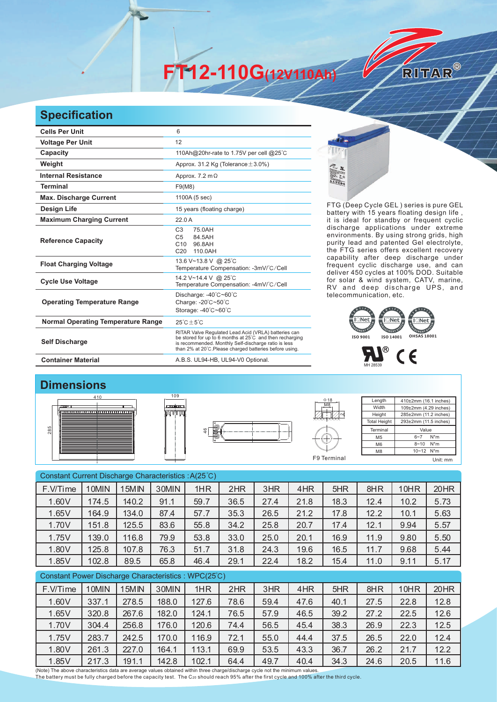**FT12-110G(12V110Ah)** 

## **Specification**

| <b>Cells Per Unit</b>                     | 6                                                                                                                                                                                                                                  |  |  |  |  |  |
|-------------------------------------------|------------------------------------------------------------------------------------------------------------------------------------------------------------------------------------------------------------------------------------|--|--|--|--|--|
| <b>Voltage Per Unit</b>                   | 12                                                                                                                                                                                                                                 |  |  |  |  |  |
| Capacity                                  | 110Ah@20hr-rate to 1.75V per cell @25°C                                                                                                                                                                                            |  |  |  |  |  |
| Weight                                    | Approx. 31.2 Kg (Tolerance $\pm$ 3.0%)                                                                                                                                                                                             |  |  |  |  |  |
| <b>Internal Resistance</b>                | Approx. $7.2 \text{ m}\Omega$                                                                                                                                                                                                      |  |  |  |  |  |
| <b>Terminal</b>                           | F9(M8)                                                                                                                                                                                                                             |  |  |  |  |  |
| <b>Max. Discharge Current</b>             | 1100A (5 sec)                                                                                                                                                                                                                      |  |  |  |  |  |
| <b>Design Life</b>                        | 15 years (floating charge)                                                                                                                                                                                                         |  |  |  |  |  |
| <b>Maximum Charging Current</b>           | 22.0A                                                                                                                                                                                                                              |  |  |  |  |  |
| <b>Reference Capacity</b>                 | C <sub>3</sub><br>75 0AH<br>C <sub>5</sub><br>84.5AH<br>C <sub>10</sub><br>96.8AH<br>C <sub>20</sub><br>110.0AH                                                                                                                    |  |  |  |  |  |
| <b>Float Charging Voltage</b>             | 13.6 V~13.8 V @ 25°C<br>Temperature Compensation: -3mV/°C/Cell                                                                                                                                                                     |  |  |  |  |  |
| <b>Cycle Use Voltage</b>                  | 14.2 V~14.4 V @ 25°C<br>Temperature Compensation: -4mV/°C/Cell                                                                                                                                                                     |  |  |  |  |  |
| <b>Operating Temperature Range</b>        | Discharge: -40°C~60°C<br>Charge: -20°C~50°C<br>Storage: -40°C~60°C                                                                                                                                                                 |  |  |  |  |  |
| <b>Normal Operating Temperature Range</b> | $25^{\circ}$ C + 5 $^{\circ}$ C                                                                                                                                                                                                    |  |  |  |  |  |
| <b>Self Discharge</b>                     | RITAR Valve Regulated Lead Acid (VRLA) batteries can<br>be stored for up to 6 months at 25°C and then recharging<br>is recommended. Monthly Self-discharge ratio is less<br>than 2% at 20°C.Please charged batteries before using. |  |  |  |  |  |
| <b>Container Material</b>                 | A.B.S. UL94-HB, UL94-V0 Optional.                                                                                                                                                                                                  |  |  |  |  |  |

120

FTG (Deep Cycle GEL) series is pure GEL battery with 15 years floating design life, it is ideal for standby or frequent cyclic discharge applications under extreme environments. By using strong grids, high purity lead and patented Gel electrolyte, the FTG series offers excellent recovery capability after deep discharge under frequent cyclic discharge use, and can deliver 450 cycles at 100% DOD. Suitable for solar & wind system, CATV, marine, RV and deep discharge UPS, and telecommunication, etc.

RITAR®





## **Dimensions**







**Length** Width **Height** Total Heigh 410±2mm (16.1 inches) 109±2mm (4.29 inches) 285±2mm (11.2 inches) 293±2mm (11.5 inches) Terminal M5 M6 M8 Value 6~7 N\*m 8~10 N\*m 10~12 N\*m F9 Terminal Unit: mm

| Constant Current Discharge Characteristics: A(25°C) |       |       |       |       |      |      |      |      |      |      |      |
|-----------------------------------------------------|-------|-------|-------|-------|------|------|------|------|------|------|------|
| F.V/Time                                            | 10MIN | 15MIN | 30MIN | 1HR   | 2HR  | 3HR  | 4HR  | 5HR  | 8HR  | 10HR | 20HR |
| 1.60V                                               | 174.5 | 140.2 | 91.1  | 59.7  | 36.5 | 27.4 | 21.8 | 18.3 | 12.4 | 10.2 | 5.73 |
| 1.65V                                               | 164.9 | 134.0 | 87.4  | 57.7  | 35.3 | 26.5 | 21.2 | 17.8 | 12.2 | 10.1 | 5.63 |
| 1.70V                                               | 151.8 | 125.5 | 83.6  | 55.8  | 34.2 | 25.8 | 20.7 | 17.4 | 12.1 | 9.94 | 5.57 |
| 1.75V                                               | 139.0 | 116.8 | 79.9  | 53.8  | 33.0 | 25.0 | 20.1 | 16.9 | 11.9 | 9.80 | 5.50 |
| 1.80V                                               | 125.8 | 107.8 | 76.3  | 51.7  | 31.8 | 24.3 | 19.6 | 16.5 | 11.7 | 9.68 | 5.44 |
| 1.85V                                               | 102.8 | 89.5  | 65.8  | 46.4  | 29.1 | 22.4 | 18.2 | 15.4 | 11.0 | 9.11 | 5.17 |
| Constant Power Discharge Characteristics: WPC(25°C) |       |       |       |       |      |      |      |      |      |      |      |
|                                                     |       |       |       |       |      |      |      |      |      |      |      |
| F.V/Time                                            | 10MIN | 15MIN | 30MIN | 1HR   | 2HR  | 3HR  | 4HR  | 5HR  | 8HR  | 10HR | 20HR |
| 1.60V                                               | 337.1 | 278.5 | 188.0 | 127.6 | 78.6 | 59.4 | 47.6 | 40.1 | 27.5 | 22.8 | 12.8 |
| 1.65V                                               | 320.8 | 267.6 | 182.0 | 124.1 | 76.5 | 57.9 | 46.5 | 39.2 | 27.2 | 22.5 | 12.6 |
| 1.70V                                               | 304.4 | 256.8 | 176.0 | 120.6 | 74.4 | 56.5 | 45.4 | 38.3 | 26.9 | 22.3 | 12.5 |
| 1.75V                                               | 283.7 | 242.5 | 170.0 | 116.9 | 72.1 | 55.0 | 44.4 | 37.5 | 26.5 | 22.0 | 12.4 |
| 1.80V                                               | 261.3 | 227.0 | 164.1 | 113.1 | 69.9 | 53.5 | 43.3 | 36.7 | 26.2 | 21.7 | 12.2 |

(Note) The above characteristics data are average values obtained within three charge/discharge cycle not the minimum values. The battery must be fully charged before the capacity test. The C<sub>20</sub> should reach 95% after the first cycle and 100% after the third cycle.